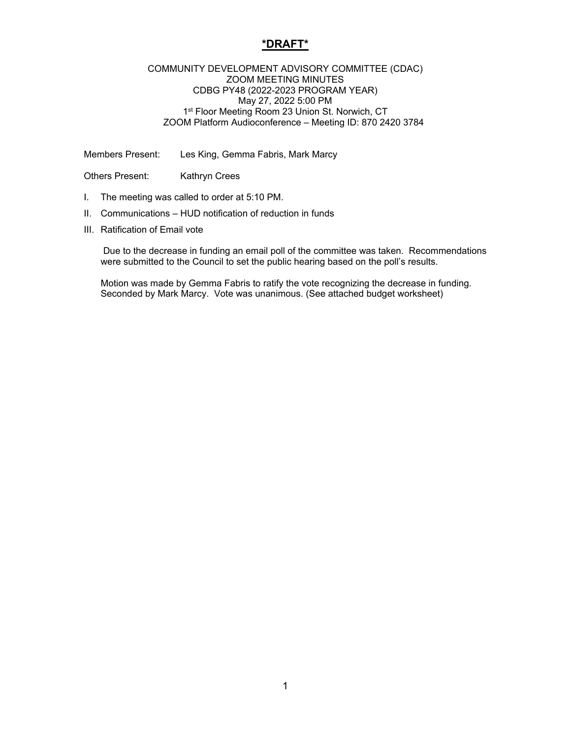## **\*DRAFT\***

## COMMUNITY DEVELOPMENT ADVISORY COMMITTEE (CDAC) ZOOM MEETING MINUTES CDBG PY48 (2022-2023 PROGRAM YEAR) May 27, 2022 5:00 PM 1<sup>st</sup> Floor Meeting Room 23 Union St. Norwich, CT ZOOM Platform Audioconference – Meeting ID: 870 2420 3784

Members Present: Les King, Gemma Fabris, Mark Marcy

Others Present: Kathryn Crees

- I. The meeting was called to order at 5:10 PM.
- II. Communications HUD notification of reduction in funds
- III. Ratification of Email vote

 Due to the decrease in funding an email poll of the committee was taken. Recommendations were submitted to the Council to set the public hearing based on the poll's results.

Motion was made by Gemma Fabris to ratify the vote recognizing the decrease in funding. Seconded by Mark Marcy. Vote was unanimous. (See attached budget worksheet)